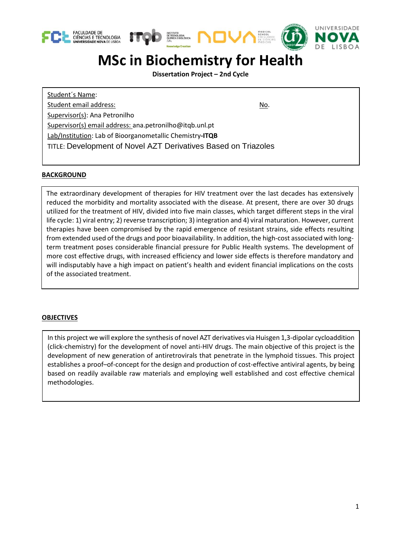





# **MSc in Biochemistry for Health**

**Dissertation Project – 2nd Cycle**

Student´s Name: Student email address: No. 1999 No. 1999 No. 1999 No. 1999 No. 1999 No. 1999 No. 1999 No. 1999 No. 1999 No. 1999 No. 1999 No. 1999 No. 1999 No. 1999 No. 1999 No. 1999 No. 1999 No. 1999 No. 1999 No. 1999 No. 1999 No. 1999 N Supervisor(s): Ana Petronilho Supervisor(s) email address: ana.petronilho@itqb.unl.pt Lab/Institution: Lab of Bioorganometallic Chemistry**-ITQB** TITLE: Development of Novel AZT Derivatives Based on Triazoles

# **BACKGROUND**

The extraordinary development of therapies for HIV treatment over the last decades has extensively reduced the morbidity and mortality associated with the disease. At present, there are over 30 drugs utilized for the treatment of HIV, divided into five main classes, which target different steps in the viral life cycle: 1) viral entry; 2) reverse transcription; 3) integration and 4) viral maturation. However, current therapies have been compromised by the rapid emergence of resistant strains, side effects resulting from extended used of the drugs and poor bioavailability. In addition, the high-cost associated with longterm treatment poses considerable financial pressure for Public Health systems. The development of more cost effective drugs, with increased efficiency and lower side effects is therefore mandatory and will indisputably have a high impact on patient's health and evident financial implications on the costs of the associated treatment.

#### **OBJECTIVES**

In this project we will explore the synthesis of novel AZT derivatives via Huisgen 1,3-dipolar cycloaddition (click-chemistry) for the development of novel anti-HIV drugs. The main objective of this project is the development of new generation of antiretrovirals that penetrate in the lymphoid tissues. This project establishes a proof–of-concept for the design and production of cost-effective antiviral agents, by being based on readily available raw materials and employing well established and cost effective chemical methodologies.